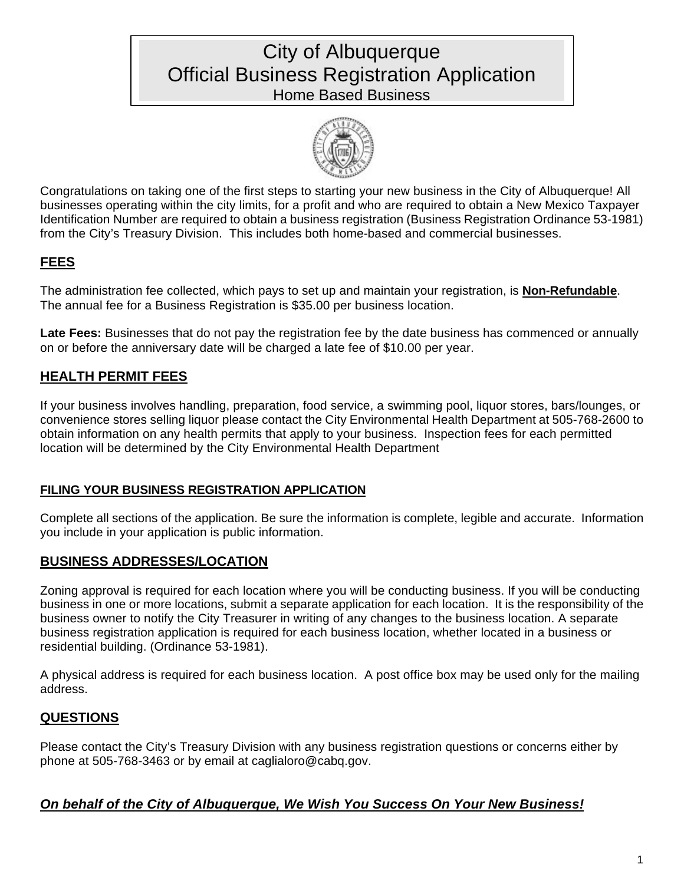# City of Albuquerque Official Business Registration Application Home Based Business



Congratulations on taking one of the first steps to starting your new business in the City of Albuquerque! All businesses operating within the city limits, for a profit and who are required to obtain a New Mexico Taxpayer Identification Number are required to obtain a business registration (Business Registration Ordinance 53-1981) from the City's Treasury Division. This includes both home-based and commercial businesses.

# **FEES**

The administration fee collected, which pays to set up and maintain your registration, is **Non-Refundable**. The annual fee for a Business Registration is \$35.00 per business location.

**Late Fees:** Businesses that do not pay the registration fee by the date business has commenced or annually on or before the anniversary date will be charged a late fee of \$10.00 per year.

# **HEALTH PERMIT FEES**

If your business involves handling, preparation, food service, a swimming pool, liquor stores, bars/lounges, or convenience stores selling liquor please contact the City Environmental Health Department at 505-768-2600 to obtain information on any health permits that apply to your business. Inspection fees for each permitted location will be determined by the City Environmental Health Department

## **FILING YOUR BUSINESS REGISTRATION APPLICATION**

Complete all sections of the application. Be sure the information is complete, legible and accurate. Information you include in your application is public information.

## **BUSINESS ADDRESSES/LOCATION**

Zoning approval is required for each location where you will be conducting business. If you will be conducting business in one or more locations, submit a separate application for each location. It is the responsibility of the business owner to notify the City Treasurer in writing of any changes to the business location. A separate business registration application is required for each business location, whether located in a business or residential building. (Ordinance 53-1981).

A physical address is required for each business location. A post office box may be used only for the mailing address.

## **QUESTIONS**

Please contact the City's Treasury Division with any business registration questions or concerns either by phone at 505-768-3463 or by email at caglialoro@cabq.gov.

## *On behalf of the City of Albuquerque, We Wish You Success On Your New Business!*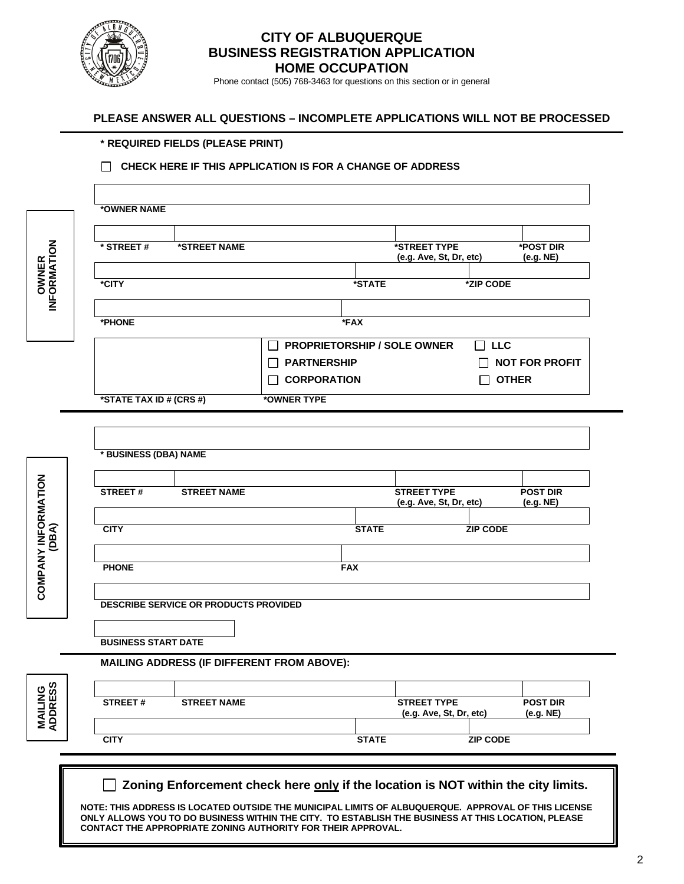

## **CITY OF ALBUQUERQUE BUSINESS REGISTRATION APPLICATION HOME OCCUPATION**

Phone contact (505) 768-3463 for questions on this section or in general

#### **PLEASE ANSWER ALL QUESTIONS – INCOMPLETE APPLICATIONS WILL NOT BE PROCESSED**

### **\* REQUIRED FIELDS (PLEASE PRINT)**

#### **CHECK HERE IF THIS APPLICATION IS FOR A CHANGE OF ADDRESS**

|                              | *OWNER NAME                                                                                         |                    |                                                                                                    |              |                                         |                   |                               |  |
|------------------------------|-----------------------------------------------------------------------------------------------------|--------------------|----------------------------------------------------------------------------------------------------|--------------|-----------------------------------------|-------------------|-------------------------------|--|
|                              |                                                                                                     |                    |                                                                                                    |              |                                         |                   |                               |  |
|                              | * STREET#                                                                                           | *STREET NAME       |                                                                                                    |              | *STREET TYPE<br>(e.g. Ave, St, Dr, etc) |                   | <b>*POST DIR</b><br>(e.g. NE) |  |
| <b>OWNER<br/>INFORMATION</b> | *CITY                                                                                               |                    |                                                                                                    | *STATE       |                                         | *ZIP CODE         |                               |  |
|                              | *PHONE                                                                                              |                    |                                                                                                    | *FAX         |                                         |                   |                               |  |
|                              |                                                                                                     |                    | <b>PROPRIETORSHIP / SOLE OWNER</b>                                                                 |              |                                         | <b>LLC</b><br>II. |                               |  |
|                              |                                                                                                     |                    | <b>PARTNERSHIP</b>                                                                                 |              |                                         |                   | <b>NOT FOR PROFIT</b>         |  |
|                              |                                                                                                     |                    | <b>CORPORATION</b>                                                                                 |              |                                         | <b>OTHER</b>      |                               |  |
|                              | *STATE TAX ID # (CRS #)                                                                             |                    | *OWNER TYPE                                                                                        |              |                                         |                   |                               |  |
|                              |                                                                                                     |                    |                                                                                                    |              |                                         |                   |                               |  |
|                              |                                                                                                     |                    |                                                                                                    |              |                                         |                   |                               |  |
|                              | * BUSINESS (DBA) NAME                                                                               |                    |                                                                                                    |              |                                         |                   |                               |  |
|                              |                                                                                                     |                    |                                                                                                    |              |                                         |                   |                               |  |
|                              | <b>STREET#</b>                                                                                      | <b>STREET NAME</b> |                                                                                                    |              | <b>STREET TYPE</b>                      |                   | <b>POST DIR</b>               |  |
|                              |                                                                                                     |                    |                                                                                                    |              | (e.g. Ave, St, Dr, etc)                 |                   | (e.g. NE)                     |  |
| COMPANY INFORMATION<br>(DBA) | <b>CITY</b>                                                                                         |                    |                                                                                                    | <b>STATE</b> |                                         | <b>ZIP CODE</b>   |                               |  |
|                              |                                                                                                     |                    |                                                                                                    |              |                                         |                   |                               |  |
|                              |                                                                                                     |                    |                                                                                                    |              |                                         |                   |                               |  |
|                              | <b>PHONE</b>                                                                                        |                    |                                                                                                    | <b>FAX</b>   |                                         |                   |                               |  |
|                              |                                                                                                     |                    |                                                                                                    |              |                                         |                   |                               |  |
|                              | DESCRIBE SERVICE OR PRODUCTS PROVIDED                                                               |                    |                                                                                                    |              |                                         |                   |                               |  |
|                              |                                                                                                     |                    |                                                                                                    |              |                                         |                   |                               |  |
|                              | <b>BUSINESS START DATE</b>                                                                          |                    |                                                                                                    |              |                                         |                   |                               |  |
|                              |                                                                                                     |                    | MAILING ADDRESS (IF DIFFERENT FROM ABOVE):                                                         |              |                                         |                   |                               |  |
|                              |                                                                                                     |                    |                                                                                                    |              |                                         |                   |                               |  |
| <b>MAILING<br/>ADDRESS</b>   | STREET#                                                                                             | <b>STREET NAME</b> |                                                                                                    |              | <b>STREET TYPE</b>                      |                   | <b>POST DIR</b>               |  |
|                              |                                                                                                     |                    |                                                                                                    |              | (e.g. Ave, St, Dr, etc)                 |                   | (e.g. NE)                     |  |
|                              | <b>CITY</b>                                                                                         |                    |                                                                                                    | <b>STATE</b> |                                         | <b>ZIP CODE</b>   |                               |  |
|                              |                                                                                                     |                    |                                                                                                    |              |                                         |                   |                               |  |
|                              |                                                                                                     |                    |                                                                                                    |              |                                         |                   |                               |  |
|                              | Zoning Enforcement check here only if the location is NOT within the city limits.                   |                    |                                                                                                    |              |                                         |                   |                               |  |
|                              | NOTE: THIS ADDRESS IS LOCATED OUTSIDE THE MUNICIPAL LIMITS OF ALBUQUERQUE. APPROVAL OF THIS LICENSE |                    |                                                                                                    |              |                                         |                   |                               |  |
|                              |                                                                                                     |                    | ONLY ALLOWS YOU TO DO BUSINESS WITHIN THE CITY. TO ESTABLISH THE BUSINESS AT THIS LOCATION, PLEASE |              |                                         |                   |                               |  |
|                              |                                                                                                     |                    | CONTACT THE APPROPRIATE ZONING AUTHORITY FOR THEIR APPROVAL.                                       |              |                                         |                   |                               |  |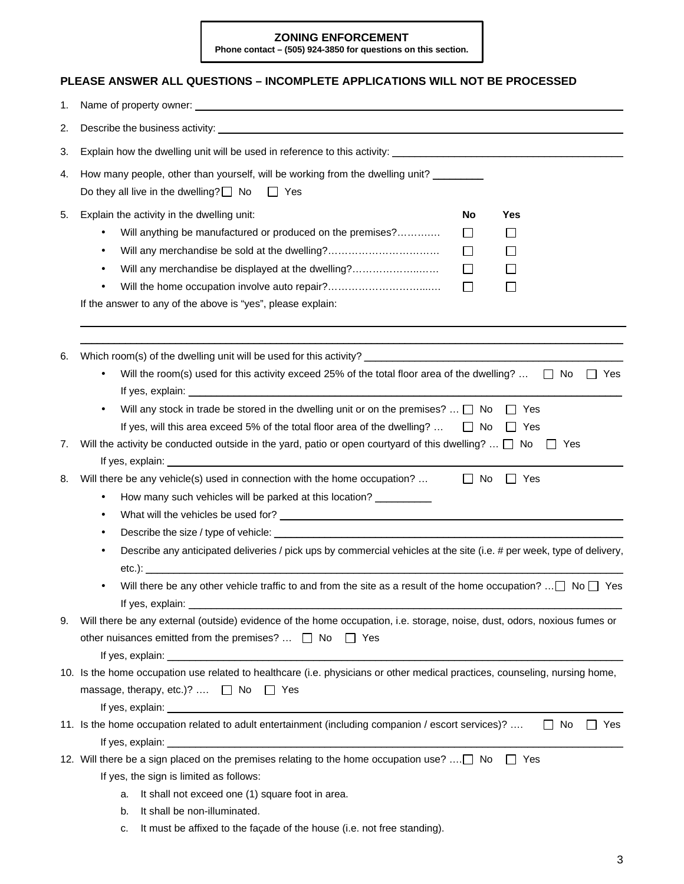#### **ZONING ENFORCEMENT**

**Phone contact – (505) 924-3850 for questions on this section.**

#### **PLEASE ANSWER ALL QUESTIONS – INCOMPLETE APPLICATIONS WILL NOT BE PROCESSED**

| 1. |                                                                                                                                                                                                                                                                                                                                                                                                                                                              |
|----|--------------------------------------------------------------------------------------------------------------------------------------------------------------------------------------------------------------------------------------------------------------------------------------------------------------------------------------------------------------------------------------------------------------------------------------------------------------|
| 2. | Describe the business activity: example and a series of the state of the state of the state of the state of the state of the state of the state of the state of the state of the state of the state of the state of the state                                                                                                                                                                                                                                |
| 3. |                                                                                                                                                                                                                                                                                                                                                                                                                                                              |
| 4. | How many people, other than yourself, will be working from the dwelling unit?<br>Do they all live in the dwelling? $\square$ No<br>$\Box$ Yes                                                                                                                                                                                                                                                                                                                |
| 5. | Explain the activity in the dwelling unit:<br>No<br>Yes<br>Will anything be manufactured or produced on the premises?<br>$\Box$<br>$\mathsf{L}$<br>Will any merchandise be sold at the dwelling?<br>$\Box$<br>$\mathsf{L}$<br>$\bullet$<br>Will any merchandise be displayed at the dwelling?<br>$\Box$<br>$\perp$<br>Will the home occupation involve auto repair?<br>$\Box$<br>$\mathsf{L}$<br>If the answer to any of the above is "yes", please explain: |
| 6. | Will the room(s) used for this activity exceed 25% of the total floor area of the dwelling? $\Box$ No<br>$\Box$ Yes                                                                                                                                                                                                                                                                                                                                          |
|    | Will any stock in trade be stored in the dwelling unit or on the premises? $\Box$ No<br>Yes<br>If yes, will this area exceed 5% of the total floor area of the dwelling? $\Box$ No<br>$\Box$ Yes                                                                                                                                                                                                                                                             |
| 7. | Will the activity be conducted outside in the yard, patio or open courtyard of this dwelling? $\Box$ No $\Box$ Yes                                                                                                                                                                                                                                                                                                                                           |
| 8. | $\Box$ No<br>Will there be any vehicle(s) used in connection with the home occupation?<br>$\Box$ Yes<br>How many such vehicles will be parked at this location? __________<br>$\bullet$<br>$\bullet$<br>Describe any anticipated deliveries / pick ups by commercial vehicles at the site (i.e. # per week, type of delivery,                                                                                                                                |
|    | Will there be any other vehicle traffic to and from the site as a result of the home occupation? $\Box$ No $\Box$ Yes                                                                                                                                                                                                                                                                                                                                        |
| 9. | Will there be any external (outside) evidence of the home occupation, i.e. storage, noise, dust, odors, noxious fumes or<br>other nuisances emitted from the premises? $\Box$ No $\Box$ Yes                                                                                                                                                                                                                                                                  |
|    | 10. Is the home occupation use related to healthcare (i.e. physicians or other medical practices, counseling, nursing home,<br>massage, therapy, etc.)?  □ No □ Yes                                                                                                                                                                                                                                                                                          |
|    | 11. Is the home occupation related to adult entertainment (including companion / escort services)?<br>$\Box$ No<br>Yes                                                                                                                                                                                                                                                                                                                                       |
|    | 12. Will there be a sign placed on the premises relating to the home occupation use?  No $\Box$ Yes<br>If yes, the sign is limited as follows:<br>It shall not exceed one (1) square foot in area.<br>a.<br>It shall be non-illuminated.<br>b.<br>It must be affixed to the façade of the house (i.e. not free standing).<br>c.                                                                                                                              |